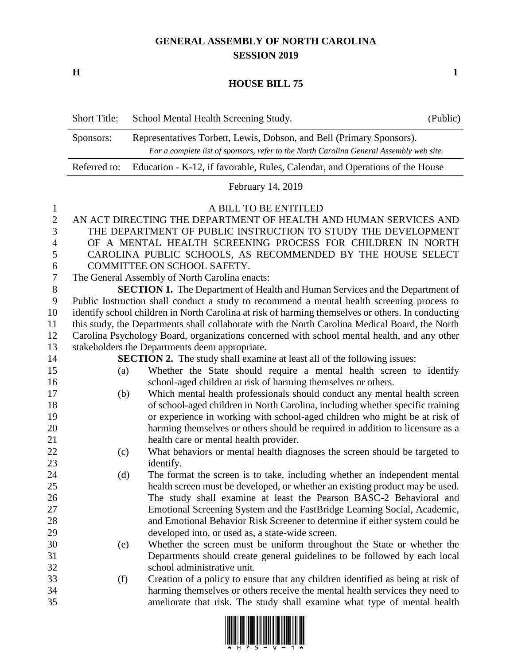## **GENERAL ASSEMBLY OF NORTH CAROLINA SESSION 2019**

**H 1**

## **HOUSE BILL 75**

| <b>Short Title:</b> | School Mental Health Screening Study.                                                   | (Public) |
|---------------------|-----------------------------------------------------------------------------------------|----------|
| Sponsors:           | Representatives Torbett, Lewis, Dobson, and Bell (Primary Sponsors).                    |          |
|                     | For a complete list of sponsors, refer to the North Carolina General Assembly web site. |          |
| Referred to:        | Education - K-12, if favorable, Rules, Calendar, and Operations of the House            |          |

February 14, 2019

## A BILL TO BE ENTITLED

| 2 AN ACT DIRECTING THE DEPARTMENT OF HEALTH AND HUMAN SERVICES AND |
|--------------------------------------------------------------------|
| 3 THE DEPARTMENT OF PUBLIC INSTRUCTION TO STUDY THE DEVELOPMENT    |
| 4 OF A MENTAL HEALTH SCREENING PROCESS FOR CHILDREN IN NORTH       |
| 5 CAROLINA PUBLIC SCHOOLS, AS RECOMMENDED BY THE HOUSE SELECT      |
| 6 COMMITTEE ON SCHOOL SAFETY.                                      |

The General Assembly of North Carolina enacts:

 **SECTION 1.** The Department of Health and Human Services and the Department of Public Instruction shall conduct a study to recommend a mental health screening process to identify school children in North Carolina at risk of harming themselves or others. In conducting this study, the Departments shall collaborate with the North Carolina Medical Board, the North Carolina Psychology Board, organizations concerned with school mental health, and any other stakeholders the Departments deem appropriate.

**SECTION 2.** The study shall examine at least all of the following issues:

- (a) Whether the State should require a mental health screen to identify school-aged children at risk of harming themselves or others.
- (b) Which mental health professionals should conduct any mental health screen of school-aged children in North Carolina, including whether specific training or experience in working with school-aged children who might be at risk of harming themselves or others should be required in addition to licensure as a health care or mental health provider.
- (c) What behaviors or mental health diagnoses the screen should be targeted to identify.
- (d) The format the screen is to take, including whether an independent mental health screen must be developed, or whether an existing product may be used. The study shall examine at least the Pearson BASC-2 Behavioral and Emotional Screening System and the FastBridge Learning Social, Academic, and Emotional Behavior Risk Screener to determine if either system could be developed into, or used as, a state-wide screen.
- (e) Whether the screen must be uniform throughout the State or whether the Departments should create general guidelines to be followed by each local school administrative unit.
- (f) Creation of a policy to ensure that any children identified as being at risk of harming themselves or others receive the mental health services they need to ameliorate that risk. The study shall examine what type of mental health